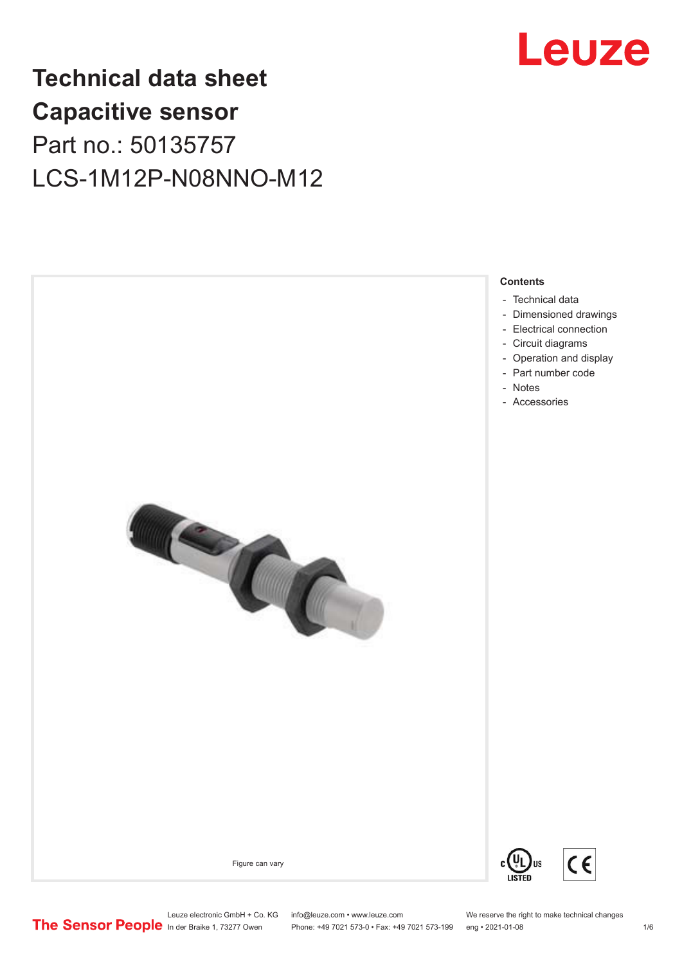

## **Technical data sheet Capacitive sensor** Part no.: 50135757 LCS-1M12P-N08NNO-M12



Leuze electronic GmbH + Co. KG info@leuze.com • www.leuze.com We reserve the right to make technical changes<br>
The Sensor People in der Braike 1, 73277 Owen Phone: +49 7021 573-0 • Fax: +49 7021 573-199 eng • 2021-01-08

Phone: +49 7021 573-0 • Fax: +49 7021 573-199 eng • 2021-01-08 1/6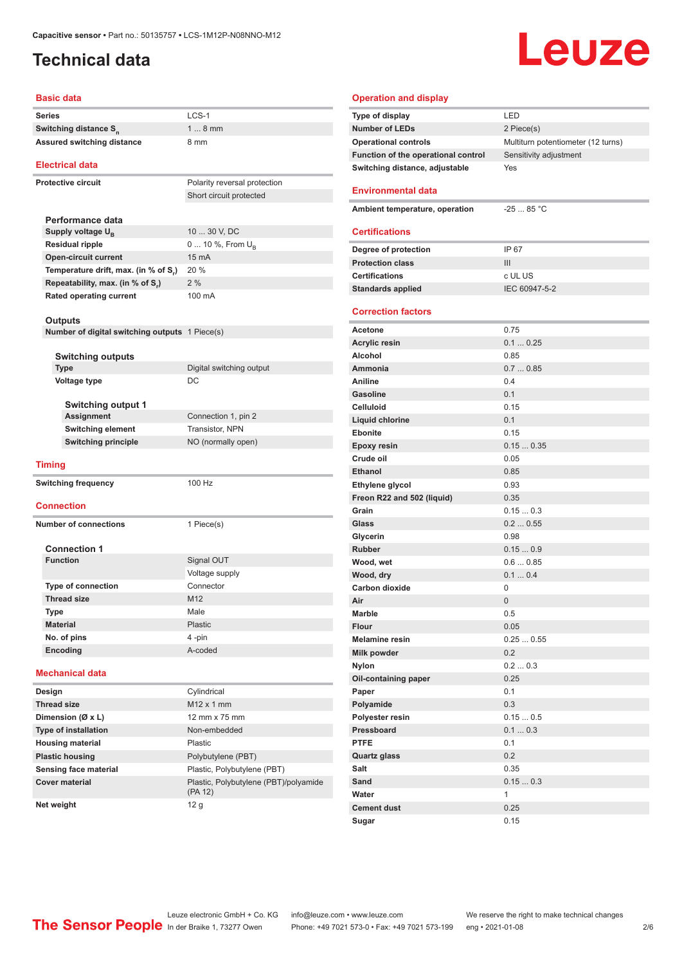#### <span id="page-1-0"></span>**Technical data**

# Leuze

#### **Basic data**

| Series                                         | LCS-1                                 |
|------------------------------------------------|---------------------------------------|
| Switching distance S <sub>n</sub>              | $18$ mm                               |
| <b>Assured switching distance</b>              | 8 mm                                  |
|                                                |                                       |
| <b>Electrical data</b>                         |                                       |
| <b>Protective circuit</b>                      | Polarity reversal protection          |
|                                                | Short circuit protected               |
|                                                |                                       |
| Performance data                               |                                       |
| Supply voltage $U_{B}$                         | 10  30 V, DC                          |
| <b>Residual ripple</b>                         | 0  10 %, From U <sub>p</sub>          |
| <b>Open-circuit current</b>                    | 15 mA                                 |
| Temperature drift, max. (in % of S.)           | 20 %                                  |
| Repeatability, max. (in % of S,)               | 2%                                    |
| <b>Rated operating current</b>                 | 100 mA                                |
|                                                |                                       |
| <b>Outputs</b>                                 |                                       |
| Number of digital switching outputs 1 Piece(s) |                                       |
| <b>Switching outputs</b>                       |                                       |
| <b>Type</b>                                    | Digital switching output              |
| Voltage type                                   | DC                                    |
|                                                |                                       |
| <b>Switching output 1</b>                      |                                       |
| Assignment                                     | Connection 1, pin 2                   |
| Switching element                              | Transistor, NPN                       |
| <b>Switching principle</b>                     | NO (normally open)                    |
|                                                |                                       |
| <b>Timing</b>                                  |                                       |
| <b>Switching frequency</b>                     | 100 Hz                                |
|                                                |                                       |
| <b>Connection</b>                              |                                       |
| <b>Number of connections</b>                   | 1 Piece(s)                            |
|                                                |                                       |
| <b>Connection 1</b>                            |                                       |
| <b>Function</b>                                | Signal OUT                            |
|                                                | Voltage supply                        |
| <b>Type of connection</b>                      | Connector                             |
| <b>Thread size</b>                             | M12                                   |
| Type                                           | Male                                  |
| <b>Material</b>                                | Plastic                               |
| No. of pins                                    | 4-pin                                 |
| Encoding                                       | A-coded                               |
| <b>Mechanical data</b>                         |                                       |
| Design                                         | Cylindrical                           |
| <b>Thread size</b>                             | M12 x 1 mm                            |
| Dimension (Ø x L)                              | 12 mm x 75 mm                         |
| <b>Type of installation</b>                    | Non-embedded                          |
| <b>Housing material</b>                        | Plastic                               |
| <b>Plastic housing</b>                         | Polybutylene (PBT)                    |
| Sensing face material                          | Plastic, Polybutylene (PBT)           |
| <b>Cover material</b>                          | Plastic, Polybutylene (PBT)/polyamide |
|                                                |                                       |

| <b>Operation and display</b>        |                                    |
|-------------------------------------|------------------------------------|
| <b>Type of display</b>              | LED                                |
| <b>Number of LEDs</b>               | 2 Piece(s)                         |
| <b>Operational controls</b>         | Multiturn potentiometer (12 turns) |
| Function of the operational control | Sensitivity adjustment             |
| Switching distance, adjustable      | Yes                                |
|                                     |                                    |
| <b>Environmental data</b>           |                                    |
| Ambient temperature, operation      | $-25$ 85 °C                        |
|                                     |                                    |
| <b>Certifications</b>               |                                    |
| Degree of protection                | IP 67                              |
| <b>Protection class</b>             | Ш                                  |
| <b>Certifications</b>               | c UL US                            |
| <b>Standards applied</b>            | IEC 60947-5-2                      |
|                                     |                                    |
| <b>Correction factors</b>           |                                    |
| Acetone                             | 0.75                               |
| <b>Acrylic resin</b>                | 0.10.25                            |
| Alcohol                             | 0.85                               |
| Ammonia                             | 0.70.85                            |
| Aniline                             | 0.4                                |
| <b>Gasoline</b>                     | 0.1                                |
| <b>Celluloid</b>                    | 0.15                               |
| Liquid chlorine                     | 0.1                                |
| <b>Ebonite</b>                      | 0.15                               |
| <b>Epoxy resin</b>                  | 0.150.35                           |
| Crude oil                           | 0.05                               |
| <b>Ethanol</b>                      | 0.85                               |
| Ethylene glycol                     | 0.93                               |
| Freon R22 and 502 (liquid)          | 0.35                               |
| Grain                               | 0.150.3                            |
| Glass                               | 0.20.55                            |
| Glycerin                            | 0.98                               |
| <b>Rubber</b>                       | 0.150.9                            |
| Wood, wet                           | 0.60.85                            |
| Wood, dry                           | 0.10.4                             |
| <b>Carbon dioxide</b>               | 0                                  |
| Air<br>Marble                       | 0                                  |
| <b>Flour</b>                        | 0.5<br>0.05                        |
| <b>Melamine resin</b>               | 0.250.55                           |
| Milk powder                         | 0.2                                |
| <b>Nylon</b>                        | 0.20.3                             |
| Oil-containing paper                | 0.25                               |
| Paper                               | 0.1                                |
| Polyamide                           | 0.3                                |
| Polyester resin                     | 0.150.5                            |
| Pressboard                          | 0.10.3                             |
| <b>PTFE</b>                         | 0.1                                |
| <b>Quartz glass</b>                 | 0.2                                |
| Salt                                | 0.35                               |
| Sand                                | 0.150.3                            |
| Water                               | 1                                  |
| <b>Cement dust</b>                  | 0.25                               |
| Sugar                               | 0.15                               |

ln der Braike 1, 73277 Owen Phone: +49 7021 573-0 • Fax: +49 7021 573-199 eng • 2021-01-08 2/6

**Net weight** 12 g

(PA 12)

Leuze electronic GmbH + Co. KG info@leuze.com • www.leuze.com We reserve the right to make technical changes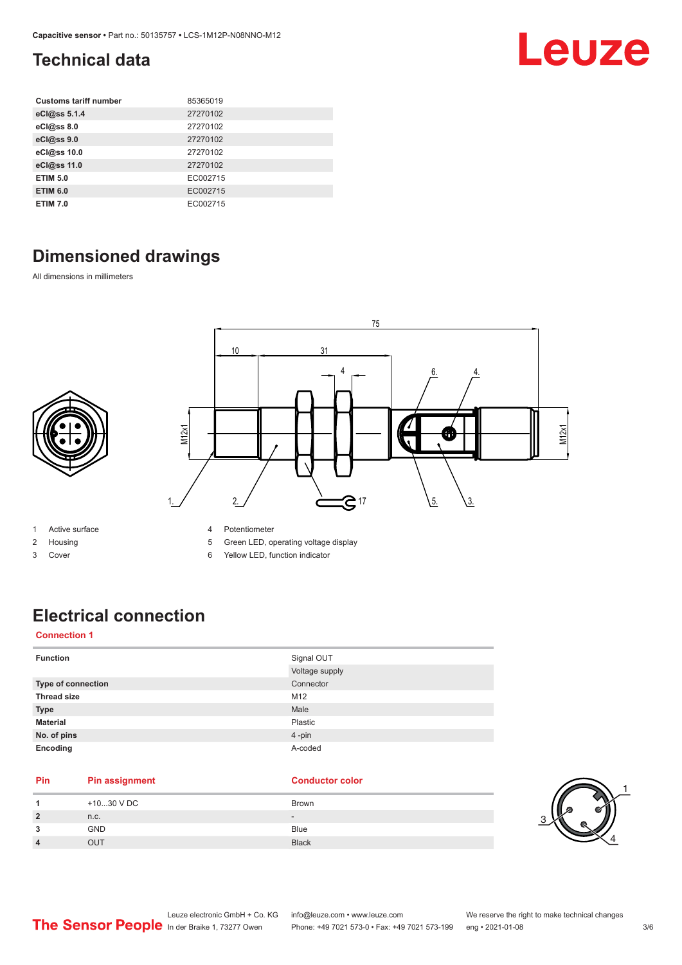### <span id="page-2-0"></span>**Technical data**

| <b>Customs tariff number</b> | 85365019 |
|------------------------------|----------|
| eCl@ss 5.1.4                 | 27270102 |
| eCl@ss 8.0                   | 27270102 |
| eCl@ss 9.0                   | 27270102 |
| eCl@ss 10.0                  | 27270102 |
| eCl@ss 11.0                  | 27270102 |
| <b>ETIM 5.0</b>              | EC002715 |
| <b>ETIM 6.0</b>              | EC002715 |
| <b>ETIM 7.0</b>              | EC002715 |

### **Dimensioned drawings**

All dimensions in millimeters



- 1 Active surface
- 2 Housing
- 3 Cover
- 4 Potentiometer
- 5 Green LED, operating voltage display
- 6 Yellow LED, function indicator

### **Electrical connection**

#### **Connection 1**

| <b>Function</b>    | Signal OUT     |
|--------------------|----------------|
|                    | Voltage supply |
| Type of connection | Connector      |
| <b>Thread size</b> | M12            |
| <b>Type</b>        | Male           |
| <b>Material</b>    | Plastic        |
| No. of pins        | 4-pin          |
| Encoding           | A-coded        |

#### **Pin Pin assignment Conductor Conductor Color**

| +1030 V DC | Brown                        |
|------------|------------------------------|
| n.c.       | $\qquad \qquad \blacksquare$ |
| <b>GND</b> | Blue                         |
| OUT        | <b>Black</b>                 |



Leuze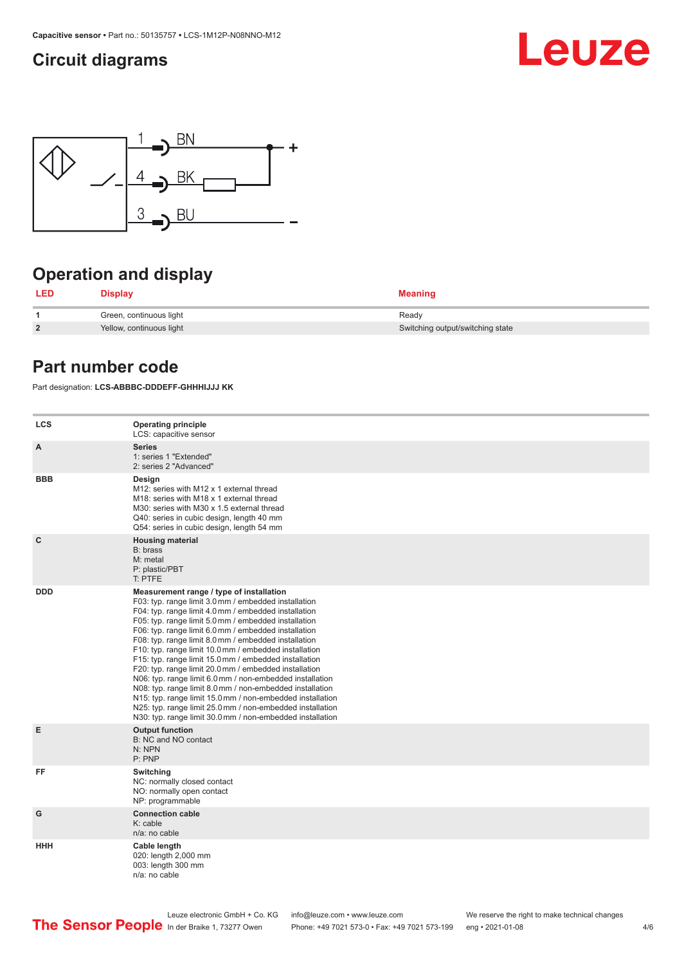#### <span id="page-3-0"></span>**Circuit diagrams**





### **Operation and display**

| LED            | <b>Display</b>           | <b>Meaning</b>                   |
|----------------|--------------------------|----------------------------------|
|                | Green, continuous light  | Ready                            |
| $\overline{2}$ | Yellow, continuous light | Switching output/switching state |

#### **Part number code**

Part designation: **LCS-ABBBC-DDDEFF-GHHHIJJJ KK**

| <b>LCS</b>   | <b>Operating principle</b><br>LCS: capacitive sensor                                                                                                                                                                                                                                                                                                                                                                                                                                                                                                                                                                                                                                                                                                                                                                       |
|--------------|----------------------------------------------------------------------------------------------------------------------------------------------------------------------------------------------------------------------------------------------------------------------------------------------------------------------------------------------------------------------------------------------------------------------------------------------------------------------------------------------------------------------------------------------------------------------------------------------------------------------------------------------------------------------------------------------------------------------------------------------------------------------------------------------------------------------------|
| A            | <b>Series</b><br>1: series 1 "Extended"<br>2: series 2 "Advanced"                                                                                                                                                                                                                                                                                                                                                                                                                                                                                                                                                                                                                                                                                                                                                          |
| <b>BBB</b>   | Design<br>M12: series with M12 x 1 external thread<br>M18: series with M18 x 1 external thread<br>M30: series with M30 x 1.5 external thread<br>Q40: series in cubic design, length 40 mm<br>Q54: series in cubic design, length 54 mm                                                                                                                                                                                                                                                                                                                                                                                                                                                                                                                                                                                     |
| $\mathbf{C}$ | <b>Housing material</b><br>B: brass<br>M: metal<br>P: plastic/PBT<br>T: PTFE                                                                                                                                                                                                                                                                                                                                                                                                                                                                                                                                                                                                                                                                                                                                               |
| <b>DDD</b>   | Measurement range / type of installation<br>F03: typ. range limit 3.0 mm / embedded installation<br>F04: typ. range limit 4.0 mm / embedded installation<br>F05: typ. range limit 5.0 mm / embedded installation<br>F06: typ. range limit 6.0 mm / embedded installation<br>F08: typ. range limit 8.0 mm / embedded installation<br>F10: typ. range limit 10.0 mm / embedded installation<br>F15: typ. range limit 15.0 mm / embedded installation<br>F20: typ. range limit 20.0 mm / embedded installation<br>N06: typ. range limit 6.0 mm / non-embedded installation<br>N08: typ. range limit 8.0 mm / non-embedded installation<br>N15: typ. range limit 15.0 mm / non-embedded installation<br>N25: typ. range limit 25.0 mm / non-embedded installation<br>N30: typ. range limit 30.0 mm / non-embedded installation |
| Е            | <b>Output function</b><br>B: NC and NO contact<br>N: NPN<br>P: PNP                                                                                                                                                                                                                                                                                                                                                                                                                                                                                                                                                                                                                                                                                                                                                         |
| FF           | Switching<br>NC: normally closed contact<br>NO: normally open contact<br>NP: programmable                                                                                                                                                                                                                                                                                                                                                                                                                                                                                                                                                                                                                                                                                                                                  |
| G            | <b>Connection cable</b><br>$K:$ cable<br>$n/a$ : no cable                                                                                                                                                                                                                                                                                                                                                                                                                                                                                                                                                                                                                                                                                                                                                                  |
| <b>HHH</b>   | Cable length<br>020: length 2,000 mm<br>003: length 300 mm<br>n/a: no cable                                                                                                                                                                                                                                                                                                                                                                                                                                                                                                                                                                                                                                                                                                                                                |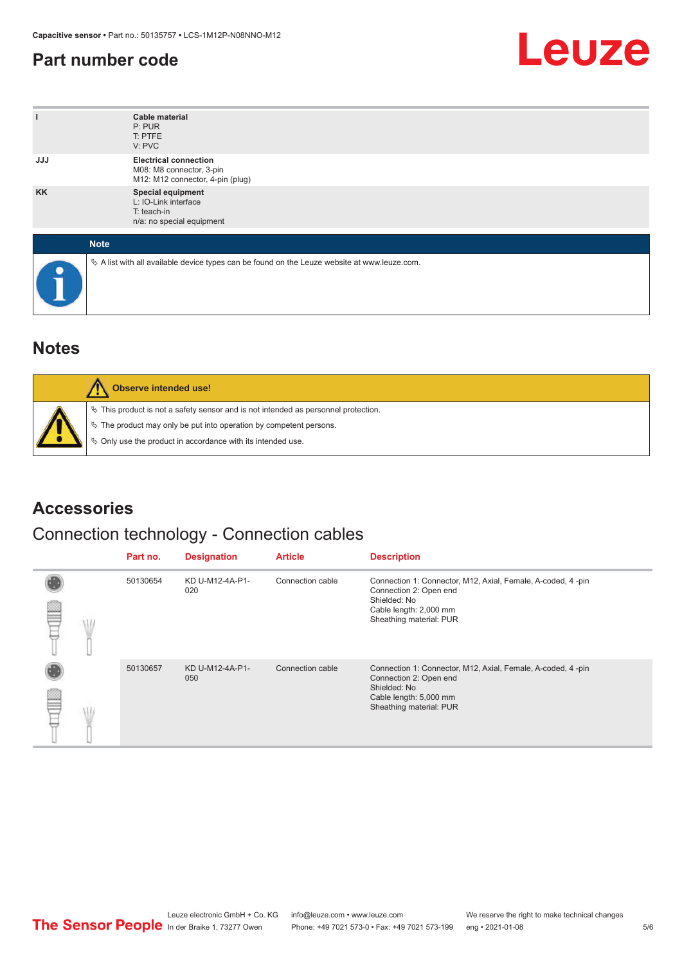#### <span id="page-4-0"></span>**Part number code**



| ı          | <b>Cable material</b><br>P: PUR<br>T: PTFE<br>V: PVC                                            |
|------------|-------------------------------------------------------------------------------------------------|
| <b>JJJ</b> | <b>Electrical connection</b><br>M08: M8 connector, 3-pin<br>M12: M12 connector, 4-pin (plug)    |
| <b>KK</b>  | Special equipment<br>L: IO-Link interface<br>T: teach-in<br>n/a: no special equipment           |
|            | <b>Note</b>                                                                                     |
| c          | $\&$ A list with all available device types can be found on the Leuze website at www.leuze.com. |

#### **Notes**

| Observe intended use!                                                                                                                                                                                                         |
|-------------------------------------------------------------------------------------------------------------------------------------------------------------------------------------------------------------------------------|
| $\%$ This product is not a safety sensor and is not intended as personnel protection.<br>$\%$ The product may only be put into operation by competent persons.<br>♦ Only use the product in accordance with its intended use. |

#### **Accessories**

#### Connection technology - Connection cables

|   | Part no. | <b>Designation</b>     | <b>Article</b>   | <b>Description</b>                                                                                                                                         |
|---|----------|------------------------|------------------|------------------------------------------------------------------------------------------------------------------------------------------------------------|
| m | 50130654 | KD U-M12-4A-P1-<br>020 | Connection cable | Connection 1: Connector, M12, Axial, Female, A-coded, 4-pin<br>Connection 2: Open end<br>Shielded: No<br>Cable length: 2,000 mm<br>Sheathing material: PUR |
|   | 50130657 | KD U-M12-4A-P1-<br>050 | Connection cable | Connection 1: Connector, M12, Axial, Female, A-coded, 4-pin<br>Connection 2: Open end<br>Shielded: No<br>Cable length: 5,000 mm<br>Sheathing material: PUR |